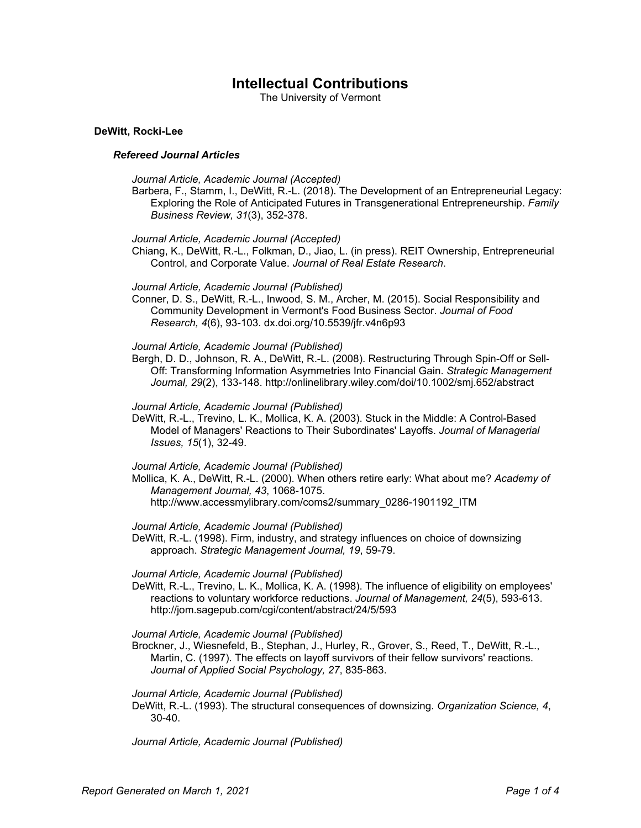# **Intellectual Contributions**

The University of Vermont

# **DeWitt, Rocki-Lee**

# *Refereed Journal Articles*

- *Journal Article, Academic Journal (Accepted)*
- Barbera, F., Stamm, I., DeWitt, R.-L. (2018). The Development of an Entrepreneurial Legacy: Exploring the Role of Anticipated Futures in Transgenerational Entrepreneurship. *Family Business Review, 31*(3), 352-378.
- *Journal Article, Academic Journal (Accepted)*
- Chiang, K., DeWitt, R.-L., Folkman, D., Jiao, L. (in press). REIT Ownership, Entrepreneurial Control, and Corporate Value. *Journal of Real Estate Research*.

# *Journal Article, Academic Journal (Published)*

Conner, D. S., DeWitt, R.-L., Inwood, S. M., Archer, M. (2015). Social Responsibility and Community Development in Vermont's Food Business Sector. *Journal of Food Research, 4*(6), 93-103. dx.doi.org/10.5539/jfr.v4n6p93

# *Journal Article, Academic Journal (Published)*

Bergh, D. D., Johnson, R. A., DeWitt, R.-L. (2008). Restructuring Through Spin-Off or Sell-Off: Transforming Information Asymmetries Into Financial Gain. *Strategic Management Journal, 29*(2), 133-148. http://onlinelibrary.wiley.com/doi/10.1002/smj.652/abstract

# *Journal Article, Academic Journal (Published)*

DeWitt, R.-L., Trevino, L. K., Mollica, K. A. (2003). Stuck in the Middle: A Control-Based Model of Managers' Reactions to Their Subordinates' Layoffs. *Journal of Managerial Issues, 15*(1), 32-49.

#### *Journal Article, Academic Journal (Published)*

Mollica, K. A., DeWitt, R.-L. (2000). When others retire early: What about me? *Academy of Management Journal, 43*, 1068-1075. http://www.accessmylibrary.com/coms2/summary\_0286-1901192\_ITM

*Journal Article, Academic Journal (Published)*

DeWitt, R.-L. (1998). Firm, industry, and strategy influences on choice of downsizing approach. *Strategic Management Journal, 19*, 59-79.

# *Journal Article, Academic Journal (Published)*

DeWitt, R.-L., Trevino, L. K., Mollica, K. A. (1998). The influence of eligibility on employees' reactions to voluntary workforce reductions. *Journal of Management, 24*(5), 593-613. http://jom.sagepub.com/cgi/content/abstract/24/5/593

*Journal Article, Academic Journal (Published)*

Brockner, J., Wiesnefeld, B., Stephan, J., Hurley, R., Grover, S., Reed, T., DeWitt, R.-L., Martin, C. (1997). The effects on layoff survivors of their fellow survivors' reactions. *Journal of Applied Social Psychology, 27*, 835-863.

# *Journal Article, Academic Journal (Published)*

DeWitt, R.-L. (1993). The structural consequences of downsizing. *Organization Science, 4*, 30-40.

*Journal Article, Academic Journal (Published)*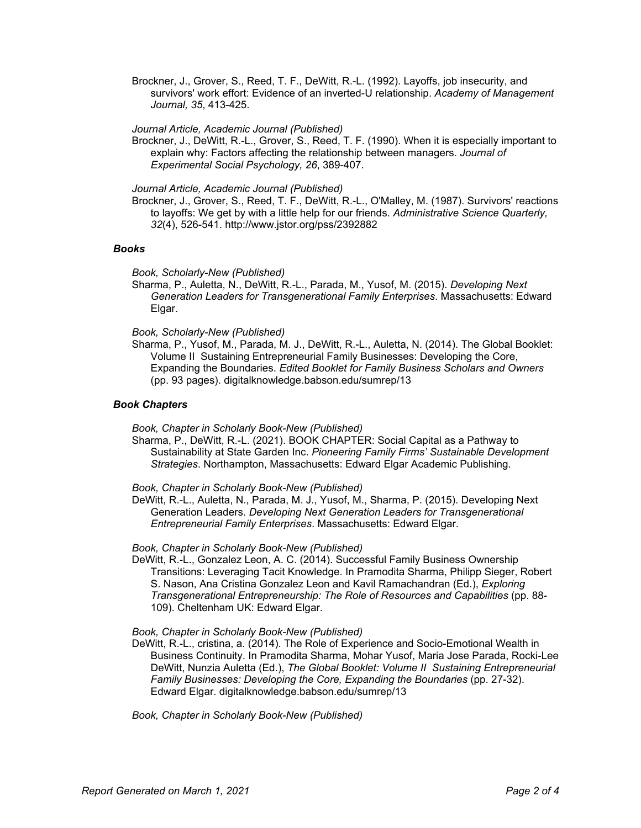Brockner, J., Grover, S., Reed, T. F., DeWitt, R.-L. (1992). Layoffs, job insecurity, and survivors' work effort: Evidence of an inverted-U relationship. *Academy of Management Journal, 35*, 413-425.

*Journal Article, Academic Journal (Published)*

Brockner, J., DeWitt, R.-L., Grover, S., Reed, T. F. (1990). When it is especially important to explain why: Factors affecting the relationship between managers. *Journal of Experimental Social Psychology, 26*, 389-407.

*Journal Article, Academic Journal (Published)*

Brockner, J., Grover, S., Reed, T. F., DeWitt, R.-L., O'Malley, M. (1987). Survivors' reactions to layoffs: We get by with a little help for our friends. *Administrative Science Quarterly, 32*(4), 526-541. http://www.jstor.org/pss/2392882

# *Books*

*Book, Scholarly-New (Published)*

Sharma, P., Auletta, N., DeWitt, R.-L., Parada, M., Yusof, M. (2015). *Developing Next Generation Leaders for Transgenerational Family Enterprises*. Massachusetts: Edward Elgar.

# *Book, Scholarly-New (Published)*

Sharma, P., Yusof, M., Parada, M. J., DeWitt, R.-L., Auletta, N. (2014). The Global Booklet: Volume II Sustaining Entrepreneurial Family Businesses: Developing the Core, Expanding the Boundaries. *Edited Booklet for Family Business Scholars and Owners* (pp. 93 pages). digitalknowledge.babson.edu/sumrep/13

# *Book Chapters*

*Book, Chapter in Scholarly Book-New (Published)*

Sharma, P., DeWitt, R.-L. (2021). BOOK CHAPTER: Social Capital as a Pathway to Sustainability at State Garden Inc. *Pioneering Family Firms' Sustainable Development Strategies*. Northampton, Massachusetts: Edward Elgar Academic Publishing.

#### *Book, Chapter in Scholarly Book-New (Published)*

DeWitt, R.-L., Auletta, N., Parada, M. J., Yusof, M., Sharma, P. (2015). Developing Next Generation Leaders. *Developing Next Generation Leaders for Transgenerational Entrepreneurial Family Enterprises*. Massachusetts: Edward Elgar.

#### *Book, Chapter in Scholarly Book-New (Published)*

DeWitt, R.-L., Gonzalez Leon, A. C. (2014). Successful Family Business Ownership Transitions: Leveraging Tacit Knowledge. In Pramodita Sharma, Philipp Sieger, Robert S. Nason, Ana Cristina Gonzalez Leon and Kavil Ramachandran (Ed.), *Exploring Transgenerational Entrepreneurship: The Role of Resources and Capabilities* (pp. 88- 109). Cheltenham UK: Edward Elgar.

#### *Book, Chapter in Scholarly Book-New (Published)*

DeWitt, R.-L., cristina, a. (2014). The Role of Experience and Socio-Emotional Wealth in Business Continuity. In Pramodita Sharma, Mohar Yusof, Maria Jose Parada, Rocki-Lee DeWitt, Nunzia Auletta (Ed.), *The Global Booklet: Volume II Sustaining Entrepreneurial Family Businesses: Developing the Core, Expanding the Boundaries* (pp. 27-32). Edward Elgar. digitalknowledge.babson.edu/sumrep/13

*Book, Chapter in Scholarly Book-New (Published)*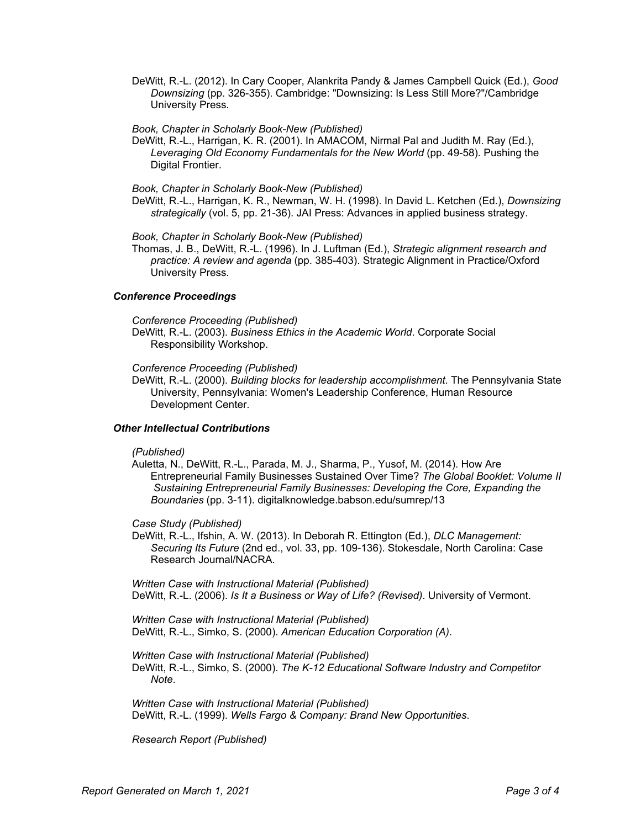DeWitt, R.-L. (2012). In Cary Cooper, Alankrita Pandy & James Campbell Quick (Ed.), *Good Downsizing* (pp. 326-355). Cambridge: "Downsizing: Is Less Still More?"/Cambridge University Press.

*Book, Chapter in Scholarly Book-New (Published)*

DeWitt, R.-L., Harrigan, K. R. (2001). In AMACOM, Nirmal Pal and Judith M. Ray (Ed.), *Leveraging Old Economy Fundamentals for the New World* (pp. 49-58). Pushing the Digital Frontier.

*Book, Chapter in Scholarly Book-New (Published)*

DeWitt, R.-L., Harrigan, K. R., Newman, W. H. (1998). In David L. Ketchen (Ed.), *Downsizing strategically* (vol. 5, pp. 21-36). JAI Press: Advances in applied business strategy.

*Book, Chapter in Scholarly Book-New (Published)*

Thomas, J. B., DeWitt, R.-L. (1996). In J. Luftman (Ed.), *Strategic alignment research and practice: A review and agenda* (pp. 385-403). Strategic Alignment in Practice/Oxford University Press.

# *Conference Proceedings*

*Conference Proceeding (Published)*

DeWitt, R.-L. (2003). *Business Ethics in the Academic World*. Corporate Social Responsibility Workshop.

*Conference Proceeding (Published)*

DeWitt, R.-L. (2000). *Building blocks for leadership accomplishment*. The Pennsylvania State University, Pennsylvania: Women's Leadership Conference, Human Resource Development Center.

#### *Other Intellectual Contributions*

*(Published)*

Auletta, N., DeWitt, R.-L., Parada, M. J., Sharma, P., Yusof, M. (2014). How Are Entrepreneurial Family Businesses Sustained Over Time? *The Global Booklet: Volume II Sustaining Entrepreneurial Family Businesses: Developing the Core, Expanding the Boundaries* (pp. 3-11). digitalknowledge.babson.edu/sumrep/13

*Case Study (Published)*

DeWitt, R.-L., Ifshin, A. W. (2013). In Deborah R. Ettington (Ed.), *DLC Management: Securing Its Future* (2nd ed., vol. 33, pp. 109-136). Stokesdale, North Carolina: Case Research Journal/NACRA.

*Written Case with Instructional Material (Published)* DeWitt, R.-L. (2006). *Is It a Business or Way of Life? (Revised)*. University of Vermont.

*Written Case with Instructional Material (Published)* DeWitt, R.-L., Simko, S. (2000). *American Education Corporation (A)*.

*Written Case with Instructional Material (Published)* DeWitt, R.-L., Simko, S. (2000). *The K-12 Educational Software Industry and Competitor Note*.

*Written Case with Instructional Material (Published)* DeWitt, R.-L. (1999). *Wells Fargo & Company: Brand New Opportunities*.

*Research Report (Published)*